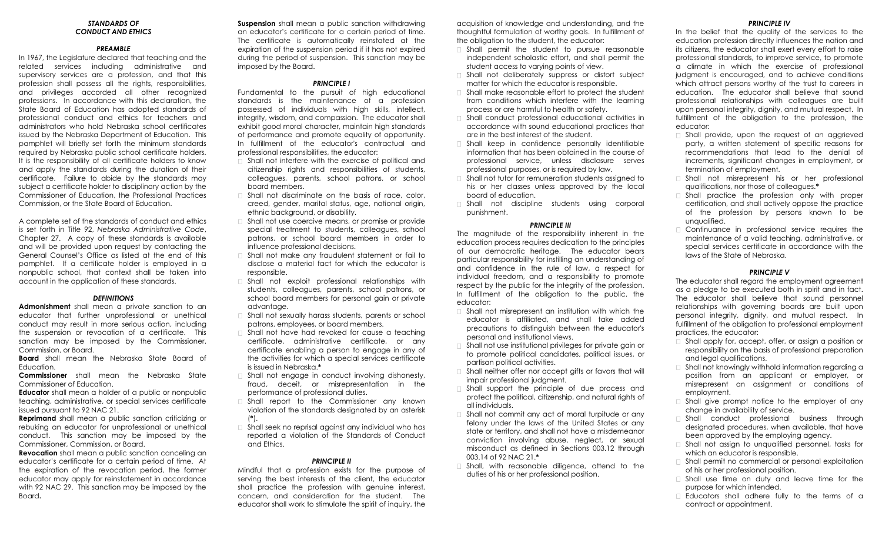#### *STANDARDS OF CONDUCT AND ETHICS*

## *PREAMBLE*

In 1967, the Legislature declared that teaching and the related services including administrative and supervisory services are a profession, and that this profession shall possess all the rights, responsibilities, and privileges accorded all other recognized professions. In accordance with this declaration, the State Board of Education has adopted standards of professional conduct and ethics for teachers and administrators who hold Nebraska school certificates issued by the Nebraska Department of Education. This pamphlet will briefly set forth the minimum standards required by Nebraska public school certificate holders. It is the responsibility of all certificate holders to know and apply the standards during the duration of their certificate. Failure to abide by the standards may subject a certificate holder to disciplinary action by the Commissioner of Education, the Professional Practices Commission, or the State Board of Education.

A complete set of the standards of conduct and ethics is set forth in Title 92, *Nebraska Administrative Code*, Chapter 27. A copy of these standards is available and will be provided upon request by contacting the General Counsel's Office as listed at the end of this pamphlet. If a certificate holder is employed in a nonpublic school, that context shall be taken into account in the application of these standards.

#### *DEFINITIONS*

**Admonishment** shall mean a private sanction to an educator that further unprofessional or unethical conduct may result in more serious action, including the suspension or revocation of a certificate. This sanction may be imposed by the Commissioner, Commission, or Board.

**Board** shall mean the Nebraska State Board of Education.

**Commissioner** shall mean the Nebraska State Commissioner of Education.

**Educator** shall mean a holder of a public or nonpublic teaching, administrative, or special services certificate issued pursuant to 92 NAC 21.

**Reprimand** shall mean a public sanction criticizing or rebuking an educator for unprofessional or unethical conduct. This sanction may be imposed by the Commissioner, Commission, or Board.

**Revocation** shall mean a public sanction canceling an educator's certificate for a certain period of time. At the expiration of the revocation period, the former educator may apply for reinstatement in accordance with 92 NAC 29. This sanction may be imposed by the Board**.** 

**Suspension** shall mean a public sanction withdrawing an educator's certificate for a certain period of time. The certificate is automatically reinstated at the expiration of the suspension period if it has not expired during the period of suspension. This sanction may be imposed by the Board.

# *PRINCIPLE I*

Fundamental to the pursuit of high educational standards is the maintenance of a profession possessed of individuals with high skills, intellect, integrity, wisdom, and compassion. The educator shall exhibit good moral character, maintain high standards of performance and promote equality of opportunity. In fulfillment of the educator's contractual and professional responsibilities, the educator:

- □ Shall not interfere with the exercise of political and citizenship rights and responsibilities of students, colleagues, parents, school patrons, or school board members.
- $\Box$  Shall not discriminate on the basis of race, color, creed, gender, marital status, age, national origin, ethnic background, or disability.
- $\Box$  Shall not use coercive means, or promise or provide special treatment to students, colleagues, school patrons, or school board members in order to influence professional decisions.
- □ Shall not make any fraudulent statement or fail to disclose a material fact for which the educator is responsible.
- Shall not exploit professional relationships with students, colleagues, parents, school patrons, or school board members for personal gain or private advantage.
- Shall not sexually harass students, parents or school patrons, employees, or board members.
- $\Box$  Shall not have had revoked for cause a teaching certificate, administrative certificate, or any certificate enabling a person to engage in any of the activities for which a special services certificate is issued in Nebraska.**\***
- $\Box$  Shall not engage in conduct involving dishonesty, fraud, deceit, or misrepresentation in the performance of professional duties.
- Shall report to the Commissioner any known violation of the standards designated by an asterisk (**\***).
- $\Box$  Shall seek no reprisal against any individual who has reported a violation of the Standards of Conduct and Ethics.

# *PRINCIPLE II*

Mindful that a profession exists for the purpose of serving the best interests of the client, the educator shall practice the profession with genuine interest, concern, and consideration for the student. The educator shall work to stimulate the spirit of inquiry, the acquisition of knowledge and understanding, and the thoughtful formulation of worthy goals. In fulfillment of the obligation to the student, the educator:

- $\Box$  Shall permit the student to pursue reasonable independent scholastic effort, and shall permit the student access to varying points of view.
- Shall not deliberately suppress or distort subject matter for which the educator is responsible.
- $\Box$  Shall make reasonable effort to protect the student from conditions which interfere with the learning process or are harmful to health or safety.
- Shall conduct professional educational activities in accordance with sound educational practices that are in the best interest of the student.
- $\Box$  Shall keep in confidence personally identifiable information that has been obtained in the course of professional service, unless disclosure serves professional purposes, or is required by law.
- □ Shall not tutor for remuneration students assigned to his or her classes unless approved by the local board of education.
- Shall not discipline students using corporal punishment.

### *PRINCIPLE III*

The magnitude of the responsibility inherent in the education process requires dedication to the principles of our democratic heritage. The educator bears particular responsibility for instilling an understanding of and confidence in the rule of law, a respect for individual freedom, and a responsibility to promote respect by the public for the integrity of the profession. In fulfillment of the obligation to the public, the educator:

- $\Box$  Shall not misrepresent an institution with which the educator is affiliated, and shall take added precautions to distinguish between the educator's personal and institutional views.
- □ Shall not use institutional privileges for private gain or to promote political candidates, political issues, or partisan political activities.
- $\Box$  Shall neither offer nor accept gifts or favors that will impair professional judgment.
- $\Box$  Shall support the principle of due process and protect the political, citizenship, and natural rights of all individuals.
- $\Box$  Shall not commit any act of moral turpitude or any felony under the laws of the United States or any state or territory, and shall not have a misdemeanor conviction involving abuse, neglect, or sexual misconduct as defined in Sections 003.12 through 003.14 of 92 NAC 21.**\***
- □ Shall, with reasonable diligence, attend to the duties of his or her professional position.

## *PRINCIPLE IV*

In the belief that the quality of the services to the education profession directly influences the nation and its citizens, the educator shall exert every effort to raise professional standards, to improve service, to promote a climate in which the exercise of professional judgment is encouraged, and to achieve conditions which attract persons worthy of the trust to careers in education. The educator shall believe that sound professional relationships with colleagues are built upon personal integrity, dignity, and mutual respect. In fulfillment of the obligation to the profession, the educator:

- $\Box$  Shall provide, upon the request of an aggrieved party, a written statement of specific reasons for recommendations that lead to the denial of increments, significant changes in employment, or termination of employment.
- Shall not misrepresent his or her professional qualifications, nor those of colleagues.**\***
- Shall practice the profession only with proper certification, and shall actively oppose the practice of the profession by persons known to be unqualified.
- Continuance in professional service requires the maintenance of a valid teaching, administrative, or special services certificate in accordance with the laws of the State of Nebraska.

# *PRINCIPLE V*

The educator shall regard the employment agreement as a pledge to be executed both in spirit and in fact. The educator shall believe that sound personnel relationships with governing boards are built upon personal integrity, dignity, and mutual respect. In fulfillment of the obligation to professional employment practices, the educator:

- $\Box$  Shall apply for, accept, offer, or assign a position or responsibility on the basis of professional preparation and legal qualifications.
- $\Box$  Shall not knowingly withhold information regarding a position from an applicant or employer, or misrepresent an assignment or conditions of employment.
- $\Box$  Shall give prompt notice to the employer of any change in availability of service.
- Shall conduct professional business through designated procedures, when available, that have been approved by the employing agency.
- □ Shall not assign to unqualified personnel, tasks for which an educator is responsible.
- □ Shall permit no commercial or personal exploitation of his or her professional position.
- $\Box$  Shall use time on duty and leave time for the purpose for which intended.
- Educators shall adhere fully to the terms of a contract or appointment.